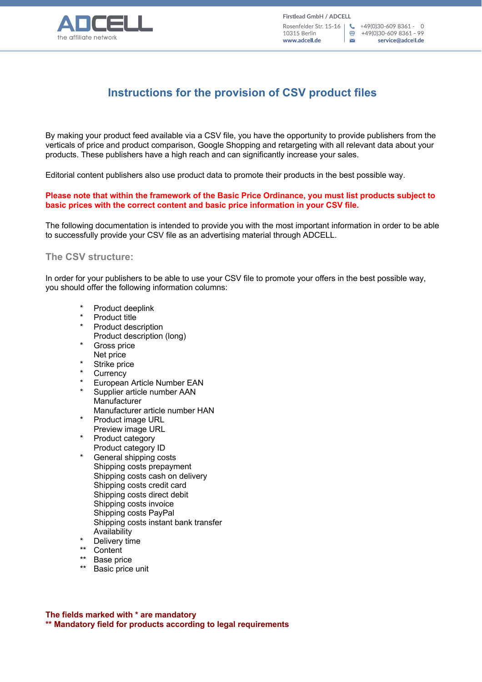

骨 +49(0)30-609 8361 - 99 service@adcell.de

# **Instructions for the provision of CSV product files**

By making your product feed available via a CSV file, you have the opportunity to provide publishers from the verticals of price and product comparison, Google Shopping and retargeting with all relevant data about your products. These publishers have a high reach and can significantly increase your sales.

Editorial content publishers also use product data to promote their products in the best possible way.

#### **Please note that within the framework of the Basic Price Ordinance, you must list products subject to basic prices with the correct content and basic price information in your CSV file.**

The following documentation is intended to provide you with the most important information in order to be able to successfully provide your CSV file as an advertising material through ADCELL.

## **The CSV structure:**

In order for your publishers to be able to use your CSV file to promote your offers in the best possible way, you should offer the following information columns:

- \* Product deeplink<br>\* Product title
- \* Product title
- Product description Product description (long)
- Gross price
- Net price
- Strike price
- **Currency**
- European Article Number EAN
- Supplier article number AAN **Manufacturer**
- Manufacturer article number HAN
- Product image URL Preview image URL
- \* Product category Product category ID
- \* General shipping costs Shipping costs prepayment Shipping costs cash on delivery Shipping costs credit card Shipping costs direct debit Shipping costs invoice Shipping costs PayPal Shipping costs instant bank transfer Availability
- \* Delivery time
- \*\* Content
- Base price
- Basic price unit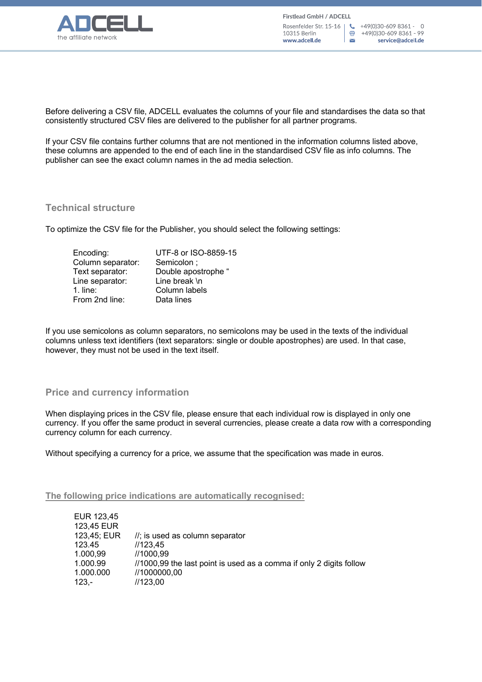

Before delivering a CSV file, ADCELL evaluates the columns of your file and standardises the data so that consistently structured CSV files are delivered to the publisher for all partner programs.

If your CSV file contains further columns that are not mentioned in the information columns listed above, these columns are appended to the end of each line in the standardised CSV file as info columns. The publisher can see the exact column names in the ad media selection.

## **Technical structure**

To optimize the CSV file for the Publisher, you should select the following settings:

| UTF-8 or ISO-8859-15 |
|----------------------|
| Semicolon;           |
| Double apostrophe "  |
| Line break \n        |
| Column labels        |
| Data lines           |
|                      |

If you use semicolons as column separators, no semicolons may be used in the texts of the individual columns unless text identifiers (text separators: single or double apostrophes) are used. In that case, however, they must not be used in the text itself.

## **Price and currency information**

When displaying prices in the CSV file, please ensure that each individual row is displayed in only one currency. If you offer the same product in several currencies, please create a data row with a corresponding currency column for each currency.

Without specifying a currency for a price, we assume that the specification was made in euros.

## **The following price indications are automatically recognised:**

| EUR 123,45  |                                                                     |
|-------------|---------------------------------------------------------------------|
| 123,45 EUR  |                                                                     |
| 123,45; EUR | $\frac{1}{3}$ is used as column separator                           |
| 123.45      | 1/123.45                                                            |
| 1.000,99    | //1000.99                                                           |
| 1.000.99    | //1000,99 the last point is used as a comma if only 2 digits follow |
| 1.000.000   | //1000000,00                                                        |
| $123 -$     | //123,00                                                            |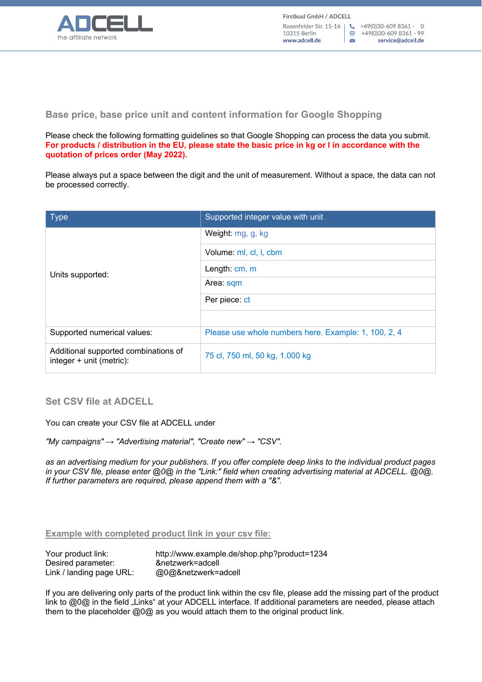

**Base price, base price unit and content information for Google Shopping**

Please check the following formatting guidelines so that Google Shopping can process the data you submit. **For products / distribution in the EU, please state the basic price in kg or l in accordance with the quotation of prices order (May 2022).**

Please always put a space between the digit and the unit of measurement. Without a space, the data can not be processed correctly.

| <b>Type</b>                                                      | Supported integer value with unit                    |
|------------------------------------------------------------------|------------------------------------------------------|
| Units supported:                                                 | Weight: mg, g, kg                                    |
|                                                                  | Volume: ml, cl, l, cbm                               |
|                                                                  | Length: cm, m                                        |
|                                                                  | Area: sqm                                            |
|                                                                  | Per piece: ct                                        |
|                                                                  |                                                      |
| Supported numerical values:                                      | Please use whole numbers here. Example: 1, 100, 2, 4 |
| Additional supported combinations of<br>integer + unit (metric): | 75 cl, 750 ml, 50 kg, 1.000 kg                       |

**Set CSV file at ADCELL**

You can create your CSV file at ADCELL under

*"My campaigns" → "Advertising material", "Create new" → "CSV".* 

*as an advertising medium for your publishers. If you offer complete deep links to the individual product pages in your CSV file, please enter @0@ in the "Link:" field when creating advertising material at ADCELL. @0@. If further parameters are required, please append them with a "&".*

**Example with completed product link in your csv file:**

| Your product link:       | http://www.example.de/shop.php?product=1234 |
|--------------------------|---------------------------------------------|
| Desired parameter:       | &netzwerk=adcell                            |
| Link / landing page URL: | @0@&netzwerk=adcell                         |

If you are delivering only parts of the product link within the csv file, please add the missing part of the product link to @0@ in the field "Links" at your ADCELL interface. If additional parameters are needed, please attach them to the placeholder @0@ as you would attach them to the original product link.